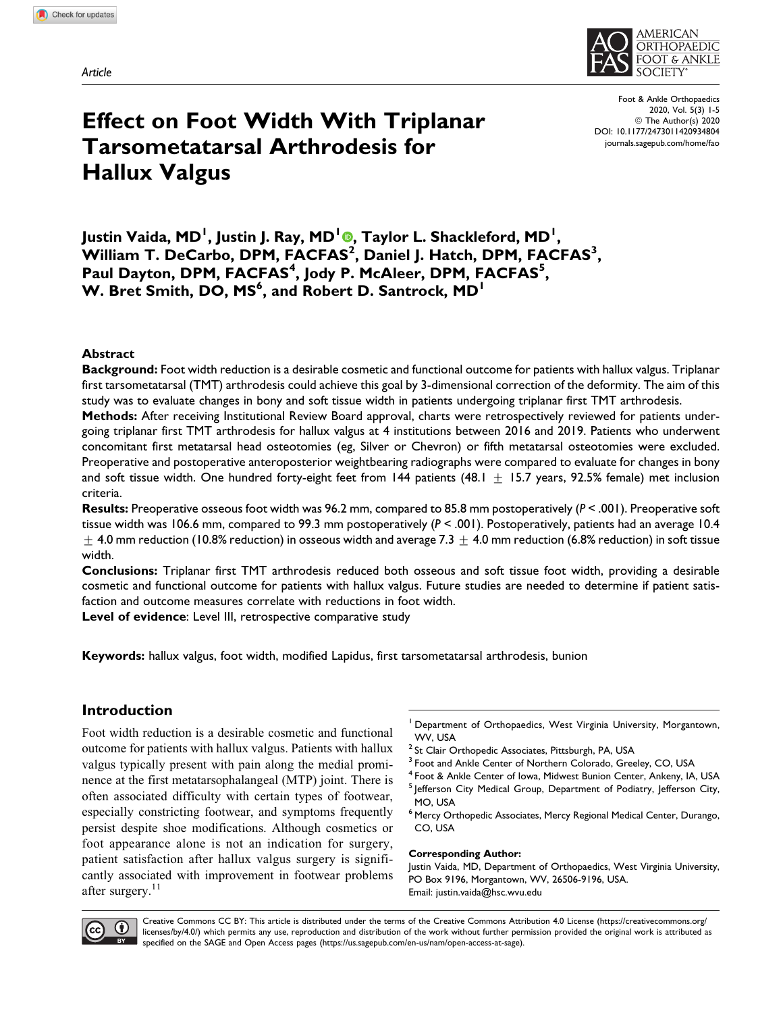Article



Effect on Foot Width With Triplanar Tarsometatarsal Arthrodesis for Hallux Valgus

Foot & Ankle Orthopaedics 2020, Vol. 5(3) 1-5 © The Author(s) 2020 DOI: 10.1177/2473011420934804 journals.sagepub.com/home/fao

# Justin Vaida, MD<sup>I</sup>, Justin J. Ray, MD<sup>I</sup>®, Taylor L. Shackleford, MD<sup>I</sup>, William T. DeCarbo, DPM, FACFAS<sup>2</sup>, Daniel J. Hatch, DPM, FACFAS<sup>3</sup>, Paul Dayton, DPM, FACFAS<sup>4</sup>, Jody P. McAleer, DPM, FACFAS<sup>5</sup>, W. Bret Smith, DO, MS<sup>6</sup>, and Robert D. Santrock, MD<sup>1</sup>

### Abstract

Background: Foot width reduction is a desirable cosmetic and functional outcome for patients with hallux valgus. Triplanar first tarsometatarsal (TMT) arthrodesis could achieve this goal by 3-dimensional correction of the deformity. The aim of this study was to evaluate changes in bony and soft tissue width in patients undergoing triplanar first TMT arthrodesis.

Methods: After receiving Institutional Review Board approval, charts were retrospectively reviewed for patients undergoing triplanar first TMT arthrodesis for hallux valgus at 4 institutions between 2016 and 2019. Patients who underwent concomitant first metatarsal head osteotomies (eg, Silver or Chevron) or fifth metatarsal osteotomies were excluded. Preoperative and postoperative anteroposterior weightbearing radiographs were compared to evaluate for changes in bony and soft tissue width. One hundred forty-eight feet from 144 patients (48.1  $\pm$  15.7 years, 92.5% female) met inclusion criteria.

**Results:** Preoperative osseous foot width was 96.2 mm, compared to 85.8 mm postoperatively ( $P < .001$ ). Preoperative soft tissue width was 106.6 mm, compared to 99.3 mm postoperatively (P < .001). Postoperatively, patients had an average 10.4  $\pm$  4.0 mm reduction (10.8% reduction) in osseous width and average 7.3  $\pm$  4.0 mm reduction (6.8% reduction) in soft tissue width.

Conclusions: Triplanar first TMT arthrodesis reduced both osseous and soft tissue foot width, providing a desirable cosmetic and functional outcome for patients with hallux valgus. Future studies are needed to determine if patient satisfaction and outcome measures correlate with reductions in foot width.

Level of evidence: Level III, retrospective comparative study

Keywords: hallux valgus, foot width, modified Lapidus, first tarsometatarsal arthrodesis, bunion

# Introduction

Foot width reduction is a desirable cosmetic and functional outcome for patients with hallux valgus. Patients with hallux valgus typically present with pain along the medial prominence at the first metatarsophalangeal (MTP) joint. There is often associated difficulty with certain types of footwear, especially constricting footwear, and symptoms frequently persist despite shoe modifications. Although cosmetics or foot appearance alone is not an indication for surgery, patient satisfaction after hallux valgus surgery is significantly associated with improvement in footwear problems after surgery.<sup>11</sup>

- <sup>1</sup> Department of Orthopaedics, West Virginia University, Morgantown, WV, USA
- <sup>2</sup> St Clair Orthopedic Associates, Pittsburgh, PA, USA
- <sup>3</sup> Foot and Ankle Center of Northern Colorado, Greeley, CO, USA
- Foot & Ankle Center of Iowa, Midwest Bunion Center, Ankeny, IA, USA
- <sup>5</sup> Jefferson City Medical Group, Department of Podiatry, Jefferson City, MO, USA
- <sup>6</sup> Mercy Orthopedic Associates, Mercy Regional Medical Center, Durango, CO, USA

#### Corresponding Author:

Justin Vaida, MD, Department of Orthopaedics, West Virginia University, PO Box 9196, Morgantown, WV, 26506-9196, USA. Email: justin.vaida@hsc.wvu.edu



Creative Commons CC BY: This article is distributed under the terms of the Creative Commons Attribution 4.0 License (https://creativecommons.org/ licenses/by/4.0/) which permits any use, reproduction and distribution of the work without further permission provided the original work is attributed as specified on the SAGE and Open Access pages (https://us.sagepub.com/en-us/nam/open-access-at-sage).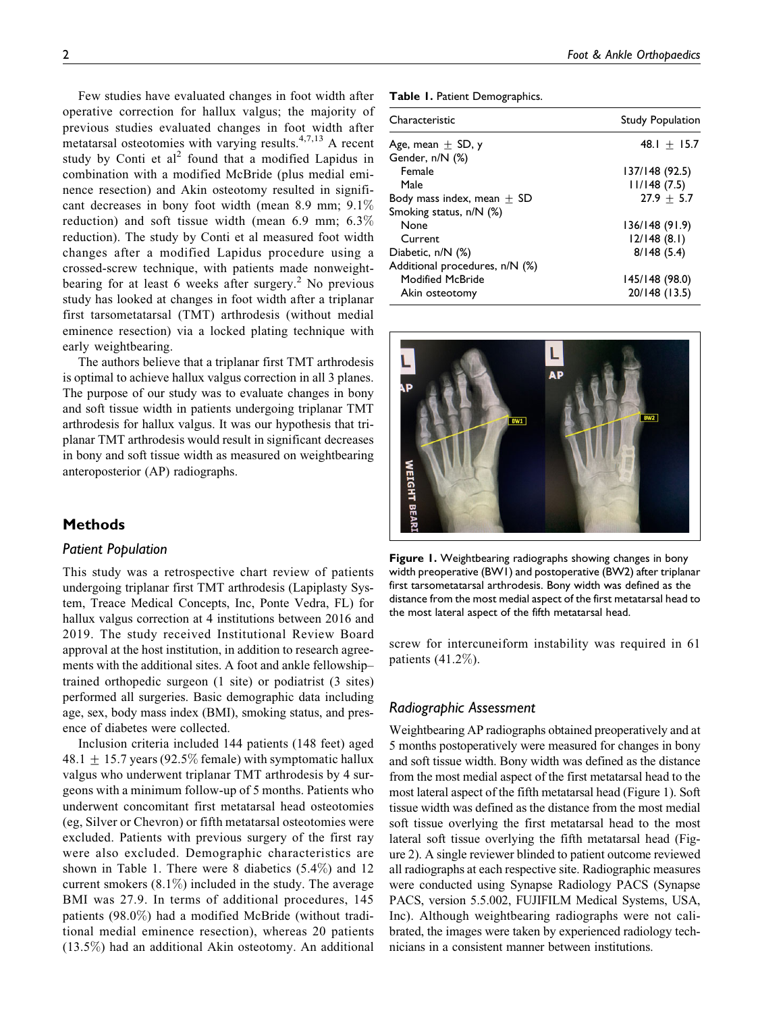Few studies have evaluated changes in foot width after operative correction for hallux valgus; the majority of previous studies evaluated changes in foot width after metatarsal osteotomies with varying results. $4,7,13$  A recent study by Conti et  $al^2$  found that a modified Lapidus in combination with a modified McBride (plus medial eminence resection) and Akin osteotomy resulted in significant decreases in bony foot width (mean 8.9 mm; 9.1% reduction) and soft tissue width (mean 6.9 mm; 6.3% reduction). The study by Conti et al measured foot width changes after a modified Lapidus procedure using a crossed-screw technique, with patients made nonweightbearing for at least 6 weeks after surgery.<sup>2</sup> No previous study has looked at changes in foot width after a triplanar first tarsometatarsal (TMT) arthrodesis (without medial eminence resection) via a locked plating technique with early weightbearing.

The authors believe that a triplanar first TMT arthrodesis is optimal to achieve hallux valgus correction in all 3 planes. The purpose of our study was to evaluate changes in bony and soft tissue width in patients undergoing triplanar TMT arthrodesis for hallux valgus. It was our hypothesis that triplanar TMT arthrodesis would result in significant decreases in bony and soft tissue width as measured on weightbearing anteroposterior (AP) radiographs.

## Methods

## Patient Population

This study was a retrospective chart review of patients undergoing triplanar first TMT arthrodesis (Lapiplasty System, Treace Medical Concepts, Inc, Ponte Vedra, FL) for hallux valgus correction at 4 institutions between 2016 and 2019. The study received Institutional Review Board approval at the host institution, in addition to research agreements with the additional sites. A foot and ankle fellowship– trained orthopedic surgeon (1 site) or podiatrist (3 sites) performed all surgeries. Basic demographic data including age, sex, body mass index (BMI), smoking status, and presence of diabetes were collected.

Inclusion criteria included 144 patients (148 feet) aged 48.1  $\pm$  15.7 years (92.5% female) with symptomatic hallux valgus who underwent triplanar TMT arthrodesis by 4 surgeons with a minimum follow-up of 5 months. Patients who underwent concomitant first metatarsal head osteotomies (eg, Silver or Chevron) or fifth metatarsal osteotomies were excluded. Patients with previous surgery of the first ray were also excluded. Demographic characteristics are shown in Table 1. There were 8 diabetics (5.4%) and 12 current smokers  $(8.1\%)$  included in the study. The average BMI was 27.9. In terms of additional procedures, 145 patients (98.0%) had a modified McBride (without traditional medial eminence resection), whereas 20 patients (13.5%) had an additional Akin osteotomy. An additional Table 1. Patient Demographics.

| <b>Study Population</b> |
|-------------------------|
| $48.1 + 15.7$           |
|                         |
| 137/148 (92.5)          |
| 11/148(7.5)             |
| $27.9 + 5.7$            |
|                         |
| 136/148 (91.9)          |
| 12/148(8.1)             |
| 8/148(5.4)              |
|                         |
| 145/148 (98.0)          |
| 20/148 (13.5)           |
|                         |



Figure 1. Weightbearing radiographs showing changes in bony width preoperative (BW1) and postoperative (BW2) after triplanar first tarsometatarsal arthrodesis. Bony width was defined as the distance from the most medial aspect of the first metatarsal head to the most lateral aspect of the fifth metatarsal head.

screw for intercuneiform instability was required in 61 patients (41.2%).

#### Radiographic Assessment

Weightbearing AP radiographs obtained preoperatively and at 5 months postoperatively were measured for changes in bony and soft tissue width. Bony width was defined as the distance from the most medial aspect of the first metatarsal head to the most lateral aspect of the fifth metatarsal head (Figure 1). Soft tissue width was defined as the distance from the most medial soft tissue overlying the first metatarsal head to the most lateral soft tissue overlying the fifth metatarsal head (Figure 2). A single reviewer blinded to patient outcome reviewed all radiographs at each respective site. Radiographic measures were conducted using Synapse Radiology PACS (Synapse PACS, version 5.5.002, FUJIFILM Medical Systems, USA, Inc). Although weightbearing radiographs were not calibrated, the images were taken by experienced radiology technicians in a consistent manner between institutions.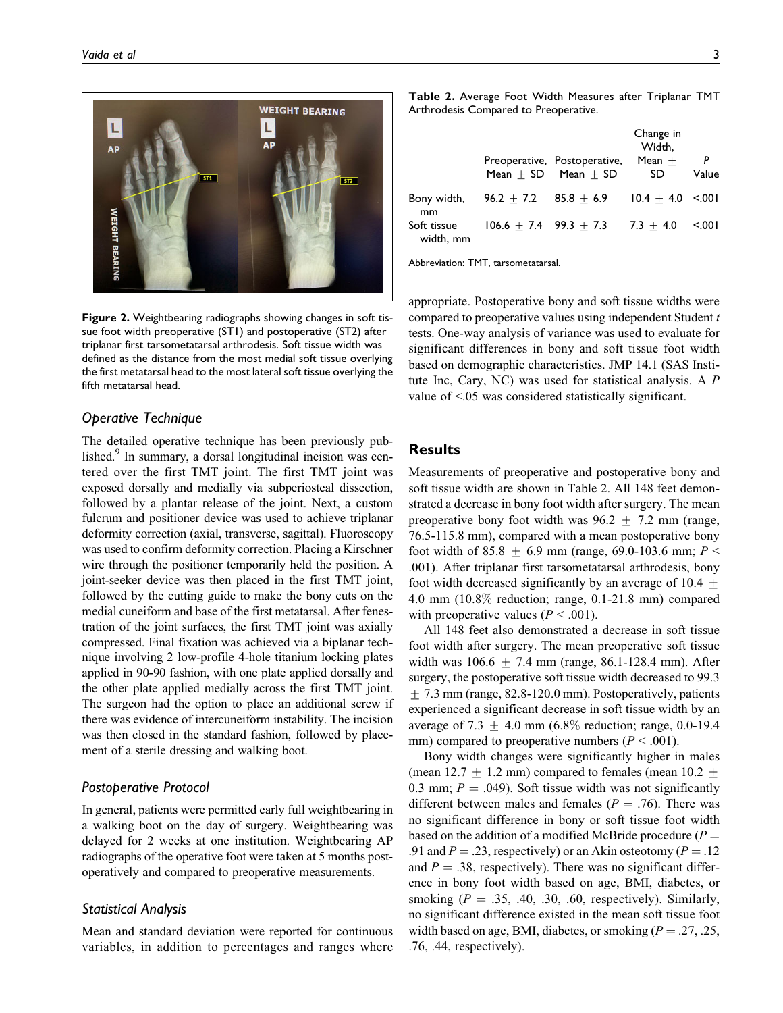

Figure 2. Weightbearing radiographs showing changes in soft tissue foot width preoperative (ST1) and postoperative (ST2) after triplanar first tarsometatarsal arthrodesis. Soft tissue width was defined as the distance from the most medial soft tissue overlying the first metatarsal head to the most lateral soft tissue overlying the fifth metatarsal head.

#### Operative Technique

The detailed operative technique has been previously published.<sup>9</sup> In summary, a dorsal longitudinal incision was centered over the first TMT joint. The first TMT joint was exposed dorsally and medially via subperiosteal dissection, followed by a plantar release of the joint. Next, a custom fulcrum and positioner device was used to achieve triplanar deformity correction (axial, transverse, sagittal). Fluoroscopy was used to confirm deformity correction. Placing a Kirschner wire through the positioner temporarily held the position. A joint-seeker device was then placed in the first TMT joint, followed by the cutting guide to make the bony cuts on the medial cuneiform and base of the first metatarsal. After fenestration of the joint surfaces, the first TMT joint was axially compressed. Final fixation was achieved via a biplanar technique involving 2 low-profile 4-hole titanium locking plates applied in 90-90 fashion, with one plate applied dorsally and the other plate applied medially across the first TMT joint. The surgeon had the option to place an additional screw if there was evidence of intercuneiform instability. The incision was then closed in the standard fashion, followed by placement of a sterile dressing and walking boot.

### Postoperative Protocol

In general, patients were permitted early full weightbearing in a walking boot on the day of surgery. Weightbearing was delayed for 2 weeks at one institution. Weightbearing AP radiographs of the operative foot were taken at 5 months postoperatively and compared to preoperative measurements.

#### Statistical Analysis

Mean and standard deviation were reported for continuous variables, in addition to percentages and ranges where

|                                |                           | Preoperative, Postoperative,<br>Mean $+$ SD Mean $+$ SD | Change in<br>Width.<br>Mean $+$<br>SD | P<br>Value |
|--------------------------------|---------------------------|---------------------------------------------------------|---------------------------------------|------------|
| Bony width,                    | $96.2 + 7.2$ $85.8 + 6.9$ |                                                         | $10.4 + 4.0 \le 0.001$                |            |
| mm<br>Soft tissue<br>width, mm | $106.6 + 7.4$ 99.3 + 7.3  |                                                         | $7.3 + 4.0$                           | 5001       |

Abbreviation: TMT, tarsometatarsal.

appropriate. Postoperative bony and soft tissue widths were compared to preoperative values using independent Student t tests. One-way analysis of variance was used to evaluate for significant differences in bony and soft tissue foot width based on demographic characteristics. JMP 14.1 (SAS Institute Inc, Cary, NC) was used for statistical analysis. A P value of <.05 was considered statistically significant.

# **Results**

Measurements of preoperative and postoperative bony and soft tissue width are shown in Table 2. All 148 feet demonstrated a decrease in bony foot width after surgery. The mean preoperative bony foot width was  $96.2 \pm 7.2$  mm (range, 76.5-115.8 mm), compared with a mean postoperative bony foot width of 85.8  $\pm$  6.9 mm (range, 69.0-103.6 mm; P < .001). After triplanar first tarsometatarsal arthrodesis, bony foot width decreased significantly by an average of 10.4  $\pm$ 4.0 mm (10.8% reduction; range, 0.1-21.8 mm) compared with preoperative values ( $P < .001$ ).

All 148 feet also demonstrated a decrease in soft tissue foot width after surgery. The mean preoperative soft tissue width was  $106.6 \pm 7.4$  mm (range, 86.1-128.4 mm). After surgery, the postoperative soft tissue width decreased to 99.3  $\pm$  7.3 mm (range, 82.8-120.0 mm). Postoperatively, patients experienced a significant decrease in soft tissue width by an average of 7.3  $\pm$  4.0 mm (6.8% reduction; range, 0.0-19.4 mm) compared to preoperative numbers ( $P < .001$ ).

Bony width changes were significantly higher in males (mean 12.7  $\pm$  1.2 mm) compared to females (mean 10.2  $\pm$ 0.3 mm;  $P = .049$ ). Soft tissue width was not significantly different between males and females ( $P = .76$ ). There was no significant difference in bony or soft tissue foot width based on the addition of a modified McBride procedure  $(P =$ .91 and  $P = .23$ , respectively) or an Akin osteotomy ( $P = .12$ and  $P = .38$ , respectively). There was no significant difference in bony foot width based on age, BMI, diabetes, or smoking ( $P = .35, .40, .30, .60$ , respectively). Similarly, no significant difference existed in the mean soft tissue foot width based on age, BMI, diabetes, or smoking  $(P = .27, .25, )$ .76, .44, respectively).

Table 2. Average Foot Width Measures after Triplanar TMT Arthrodesis Compared to Preoperative.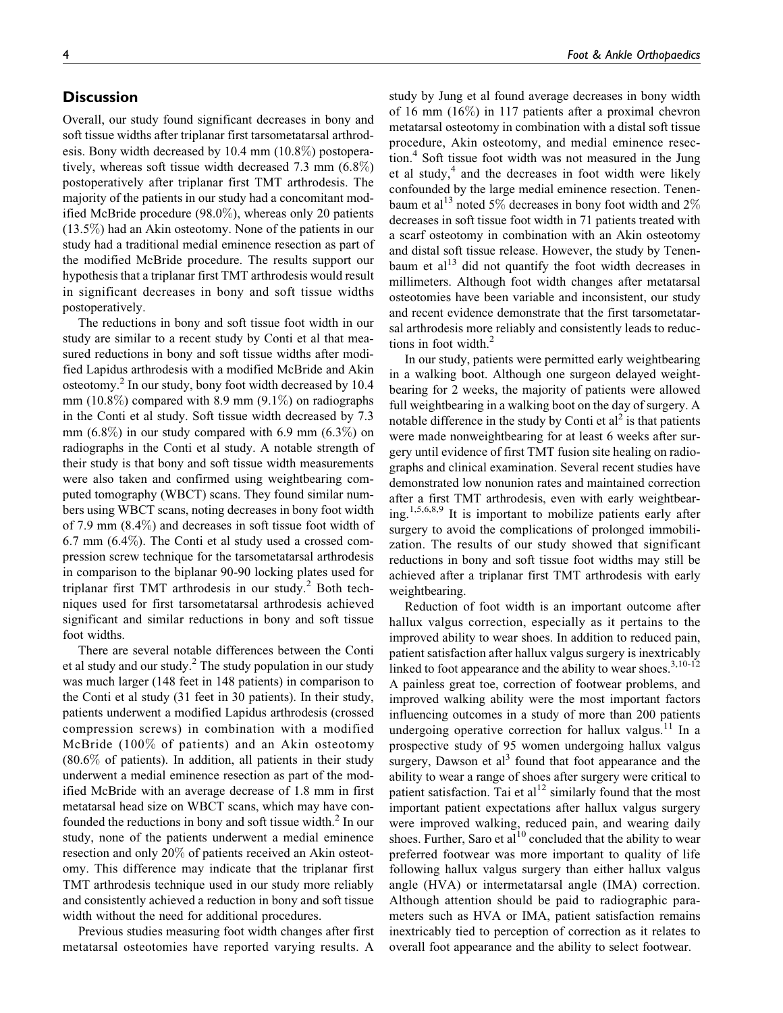# **Discussion**

Overall, our study found significant decreases in bony and soft tissue widths after triplanar first tarsometatarsal arthrodesis. Bony width decreased by 10.4 mm (10.8%) postoperatively, whereas soft tissue width decreased 7.3 mm (6.8%) postoperatively after triplanar first TMT arthrodesis. The majority of the patients in our study had a concomitant modified McBride procedure (98.0%), whereas only 20 patients (13.5%) had an Akin osteotomy. None of the patients in our study had a traditional medial eminence resection as part of the modified McBride procedure. The results support our hypothesis that a triplanar first TMT arthrodesis would result in significant decreases in bony and soft tissue widths postoperatively.

The reductions in bony and soft tissue foot width in our study are similar to a recent study by Conti et al that measured reductions in bony and soft tissue widths after modified Lapidus arthrodesis with a modified McBride and Akin osteotomy.<sup>2</sup> In our study, bony foot width decreased by 10.4 mm (10.8%) compared with 8.9 mm (9.1%) on radiographs in the Conti et al study. Soft tissue width decreased by 7.3 mm  $(6.8\%)$  in our study compared with 6.9 mm  $(6.3\%)$  on radiographs in the Conti et al study. A notable strength of their study is that bony and soft tissue width measurements were also taken and confirmed using weightbearing computed tomography (WBCT) scans. They found similar numbers using WBCT scans, noting decreases in bony foot width of 7.9 mm (8.4%) and decreases in soft tissue foot width of 6.7 mm (6.4%). The Conti et al study used a crossed compression screw technique for the tarsometatarsal arthrodesis in comparison to the biplanar 90-90 locking plates used for triplanar first TMT arthrodesis in our study.<sup>2</sup> Both techniques used for first tarsometatarsal arthrodesis achieved significant and similar reductions in bony and soft tissue foot widths.

There are several notable differences between the Conti et al study and our study.<sup>2</sup> The study population in our study was much larger (148 feet in 148 patients) in comparison to the Conti et al study (31 feet in 30 patients). In their study, patients underwent a modified Lapidus arthrodesis (crossed compression screws) in combination with a modified McBride (100% of patients) and an Akin osteotomy (80.6% of patients). In addition, all patients in their study underwent a medial eminence resection as part of the modified McBride with an average decrease of 1.8 mm in first metatarsal head size on WBCT scans, which may have confounded the reductions in bony and soft tissue width. $<sup>2</sup>$  In our</sup> study, none of the patients underwent a medial eminence resection and only 20% of patients received an Akin osteotomy. This difference may indicate that the triplanar first TMT arthrodesis technique used in our study more reliably and consistently achieved a reduction in bony and soft tissue width without the need for additional procedures.

Previous studies measuring foot width changes after first metatarsal osteotomies have reported varying results. A

study by Jung et al found average decreases in bony width of 16 mm (16%) in 117 patients after a proximal chevron metatarsal osteotomy in combination with a distal soft tissue procedure, Akin osteotomy, and medial eminence resection.<sup>4</sup> Soft tissue foot width was not measured in the Jung et al study, $4$  and the decreases in foot width were likely confounded by the large medial eminence resection. Tenenbaum et al<sup>13</sup> noted 5% decreases in bony foot width and 2% decreases in soft tissue foot width in 71 patients treated with a scarf osteotomy in combination with an Akin osteotomy and distal soft tissue release. However, the study by Tenenbaum et  $al<sup>13</sup>$  did not quantify the foot width decreases in millimeters. Although foot width changes after metatarsal osteotomies have been variable and inconsistent, our study and recent evidence demonstrate that the first tarsometatarsal arthrodesis more reliably and consistently leads to reductions in foot width.<sup>2</sup>

In our study, patients were permitted early weightbearing in a walking boot. Although one surgeon delayed weightbearing for 2 weeks, the majority of patients were allowed full weightbearing in a walking boot on the day of surgery. A notable difference in the study by Conti et  $al<sup>2</sup>$  is that patients were made nonweightbearing for at least 6 weeks after surgery until evidence of first TMT fusion site healing on radiographs and clinical examination. Several recent studies have demonstrated low nonunion rates and maintained correction after a first TMT arthrodesis, even with early weightbearing.<sup>1,5,6,8,9</sup> It is important to mobilize patients early after surgery to avoid the complications of prolonged immobilization. The results of our study showed that significant reductions in bony and soft tissue foot widths may still be achieved after a triplanar first TMT arthrodesis with early weightbearing.

Reduction of foot width is an important outcome after hallux valgus correction, especially as it pertains to the improved ability to wear shoes. In addition to reduced pain, patient satisfaction after hallux valgus surgery is inextricably linked to foot appearance and the ability to wear shoes. $3,10-12$ A painless great toe, correction of footwear problems, and improved walking ability were the most important factors influencing outcomes in a study of more than 200 patients undergoing operative correction for hallux valgus.<sup>11</sup> In a prospective study of 95 women undergoing hallux valgus surgery, Dawson et  $al<sup>3</sup>$  found that foot appearance and the ability to wear a range of shoes after surgery were critical to patient satisfaction. Tai et  $al<sup>12</sup>$  similarly found that the most important patient expectations after hallux valgus surgery were improved walking, reduced pain, and wearing daily shoes. Further, Saro et al<sup>10</sup> concluded that the ability to wear preferred footwear was more important to quality of life following hallux valgus surgery than either hallux valgus angle (HVA) or intermetatarsal angle (IMA) correction. Although attention should be paid to radiographic parameters such as HVA or IMA, patient satisfaction remains inextricably tied to perception of correction as it relates to overall foot appearance and the ability to select footwear.